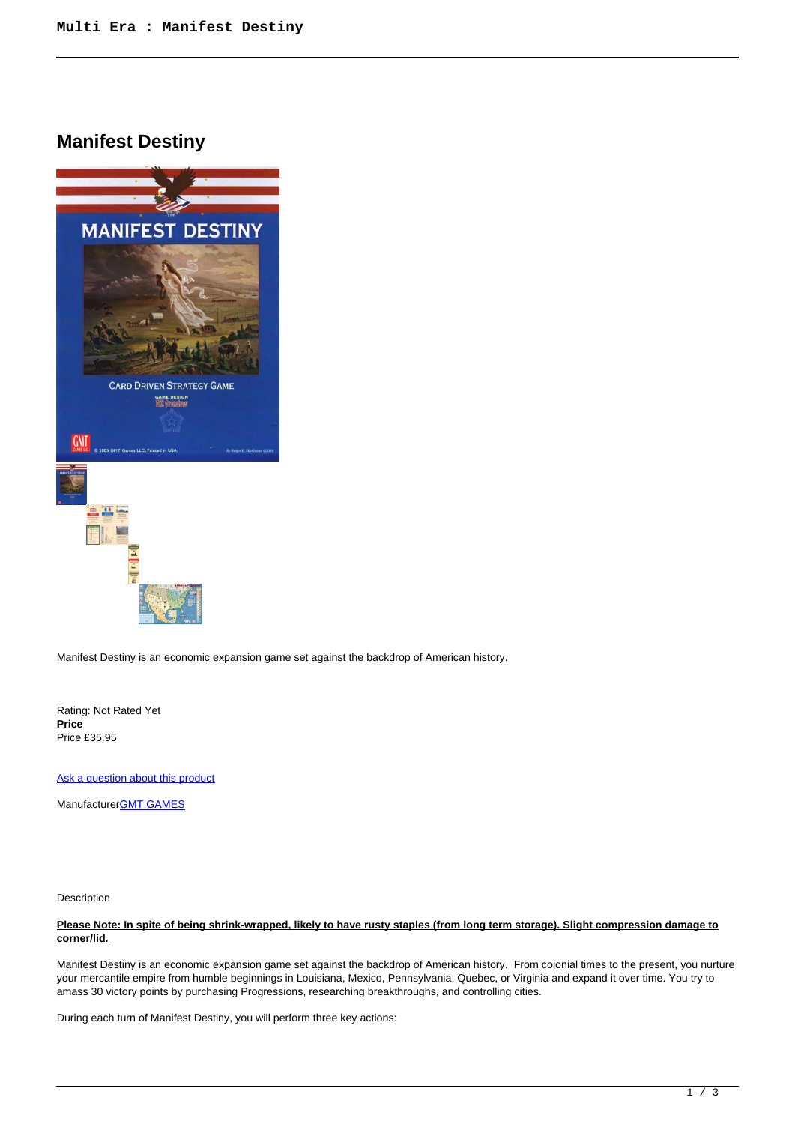# **Manifest Destiny**



Manifest Destiny is an economic expansion game set against the backdrop of American history.

Rating: Not Rated Yet **Price**  Price £35.95

[Ask a question about this product](https://www.secondchancegames.com/index.php?option=com_virtuemart&view=productdetails&task=askquestion&virtuemart_product_id=11944&virtuemart_category_id=28&tmpl=component)

Manufacturer[GMT GAMES](https://www.secondchancegames.com/index.php?option=com_virtuemart&view=manufacturer&virtuemart_manufacturer_id=2519&tmpl=component)

Description

# **Please Note: In spite of being shrink-wrapped, likely to have rusty staples (from long term storage). Slight compression damage to corner/lid.**

Manifest Destiny is an economic expansion game set against the backdrop of American history. From colonial times to the present, you nurture your mercantile empire from humble beginnings in Louisiana, Mexico, Pennsylvania, Quebec, or Virginia and expand it over time. You try to amass 30 victory points by purchasing Progressions, researching breakthroughs, and controlling cities.

During each turn of Manifest Destiny, you will perform three key actions: